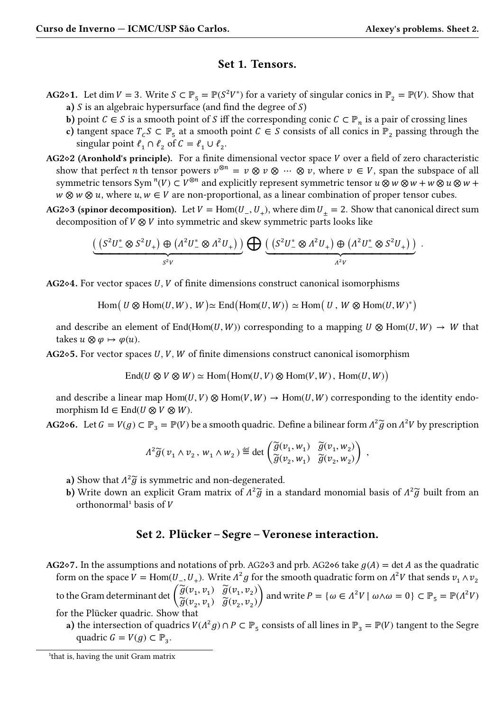.

## **Set 1. Tensors.**

- **AG2◇1.** Let dim  $V = 3$ . Write  $S \subset \mathbb{P}_5 = \mathbb{P}(S^2 V^*)$  for a variety of singular conics in  $\mathbb{P}_2 = \mathbb{P}(V)$ . Show that **a**)  $S$  is an algebraic hypersurface (and find the degree of  $S$ )
	- **b**) point  $C \in S$  is a smooth point of S iff the corresponding conic  $C \subset \mathbb{P}_n$  is a pair of crossing lines
	- **c**) tangent space  $T_c S \subset \mathbb{P}_5$  at a smooth point  $C \in S$  consists of all conics in  $\mathbb{P}_2$  passing through the singular point  $\ell_1 \cap \ell_2$  of  $C = \ell_1 \cup \ell_2$ .
- **AG2** $\diamond$ **2** (Aronhold's principle). For a finite dimensional vector space  $V$  over a field of zero characteristic show that perfect *n* th tensor powers  $v^{\otimes n} = v \otimes v \otimes \cdots \otimes v$ , where  $v \in V$ , span the subspace of all symmetric tensors Sym  $^n(V) \subset V^{\otimes n}$  and explicitly represent symmetric tensor  $u \otimes w \otimes w + w \otimes u \otimes w + w$  $w \otimes w \otimes u$ , where  $u, w \in V$  are non-proportional, as a linear combination of proper tensor cubes.
- **AG2◇3 (spinor decomposition).** Let  $V = Hom(U_-, U_+)$ , where dim  $U_+ = 2$ . Show that canonical direct sum decomposition of  $V \otimes V$  into symmetric and skew symmetric parts looks like

$$
\underbrace{\left(\left(S^2U^*_- \otimes S^2U_+\right) \oplus \left(\varLambda^2U^*_- \otimes \varLambda^2U_+\right)\right)}_{S^2V} \bigoplus \underbrace{\left(\left(S^2U^*_- \otimes \varLambda^2U_+\right) \oplus \left(\varLambda^2U^*_- \otimes S^2U_+\right)\right)}_{\varLambda^2V}
$$

**AG<sup>2</sup>◇4.** For vector spaces *U*, *V* of finite dimensions construct canonical isomorphisms

 $\text{Hom}(U \otimes \text{Hom}(U, W), W) \simeq \text{End}(\text{Hom}(U, W)) \simeq \text{Hom}(U, W \otimes \text{Hom}(U, W)^*)$ 

and describe an element of End(Hom(U, W)) corresponding to a mapping  $U \otimes Hom(U, W) \rightarrow W$  that takes  $u \otimes \varphi \mapsto \varphi(u)$ .

**AG2** $\diamond$ **5.** For vector spaces U, V, W of finite dimensions construct canonical isomorphism

$$
\mathrm{End}(U \otimes V \otimes W) \simeq \mathrm{Hom}\big(\mathrm{Hom}(U,V) \otimes \mathrm{Hom}(V,W)\,,\, \mathrm{Hom}(U,W)\big)
$$

and describe a linear map Hom(U, V)  $\otimes$  Hom(V, W)  $\rightarrow$  Hom(U, W) corresponding to the identity endomorphism Id  $\in$  End( $U \otimes V \otimes W$ ).

**AG2** $\diamond$ **6.** Let  $G = V(g) \subset \mathbb{P}_3 = \mathbb{P}(V)$  be a smooth quadric. Define a bilinear form  $A^2 \widetilde{g}$  on  $A^2 V$  by prescription

$$
\Lambda^2 \widetilde{g}(v_1 \wedge v_2, w_1 \wedge w_2) \stackrel{\text{def}}{=} \det \begin{pmatrix} \widetilde{g}(v_1, w_1) & \widetilde{g}(v_1, w_2) \\ \widetilde{g}(v_2, w_1) & \widetilde{g}(v_2, w_2) \end{pmatrix} ,
$$

- a) Show that  $\Lambda^2 \widetilde{g}$  is symmetric and non-degenerated.
- **b)** Write down an explicit Gram matrix of  $\Lambda^2 \widetilde{g}$  in a standard monomial basis of  $\Lambda^2 \widetilde{g}$  built from an orthonormal<sup>1</sup> basis of  $V$

## **Set 2. Plücker – Segre – Veronese interaction.**

- **AG<sup>2</sup>◇7.** In the assumptions and notations of prb. AG<sup>2</sup>◇3 and prb. AG<sup>2</sup>◇6 take  $g(A) = \det A$  as the quadratic form on the space  $V = \text{Hom}(U_-, U_+)$ . Write  $\Lambda^2 g$  for the smooth quadratic form on  $\Lambda^2 V$  that sends  $v_1 \wedge v_2$ to the Gram determinant det  $\begin{pmatrix} \widetilde{g}(v_1, v_1) & \widetilde{g}(v_1, v_2) \ \widetilde{g}(v_2, v_1) & \widetilde{g}(v_2, v_2) \end{pmatrix}$  $\widetilde{g}(v_1, v_1) \quad \widetilde{g}(v_2, v_2)$  and write  $P = \{\omega \in \Lambda^2 V \mid \omega \wedge \omega = 0\} \subset \mathbb{P}_{5} = \mathbb{P}(\Lambda^2 V)$ for the Plücker quadric. Show that
	- **a**) the intersection of quadrics  $V(\Lambda^2 g) \cap P \subset \mathbb{P}_5$  consists of all lines in  $\mathbb{P}_3 = \mathbb{P}(V)$  tangent to the Segre quadric  $G = V(g) \subset \mathbb{P}_3$ .

<sup>&</sup>lt;sup>1</sup>that is, having the unit Gram matrix